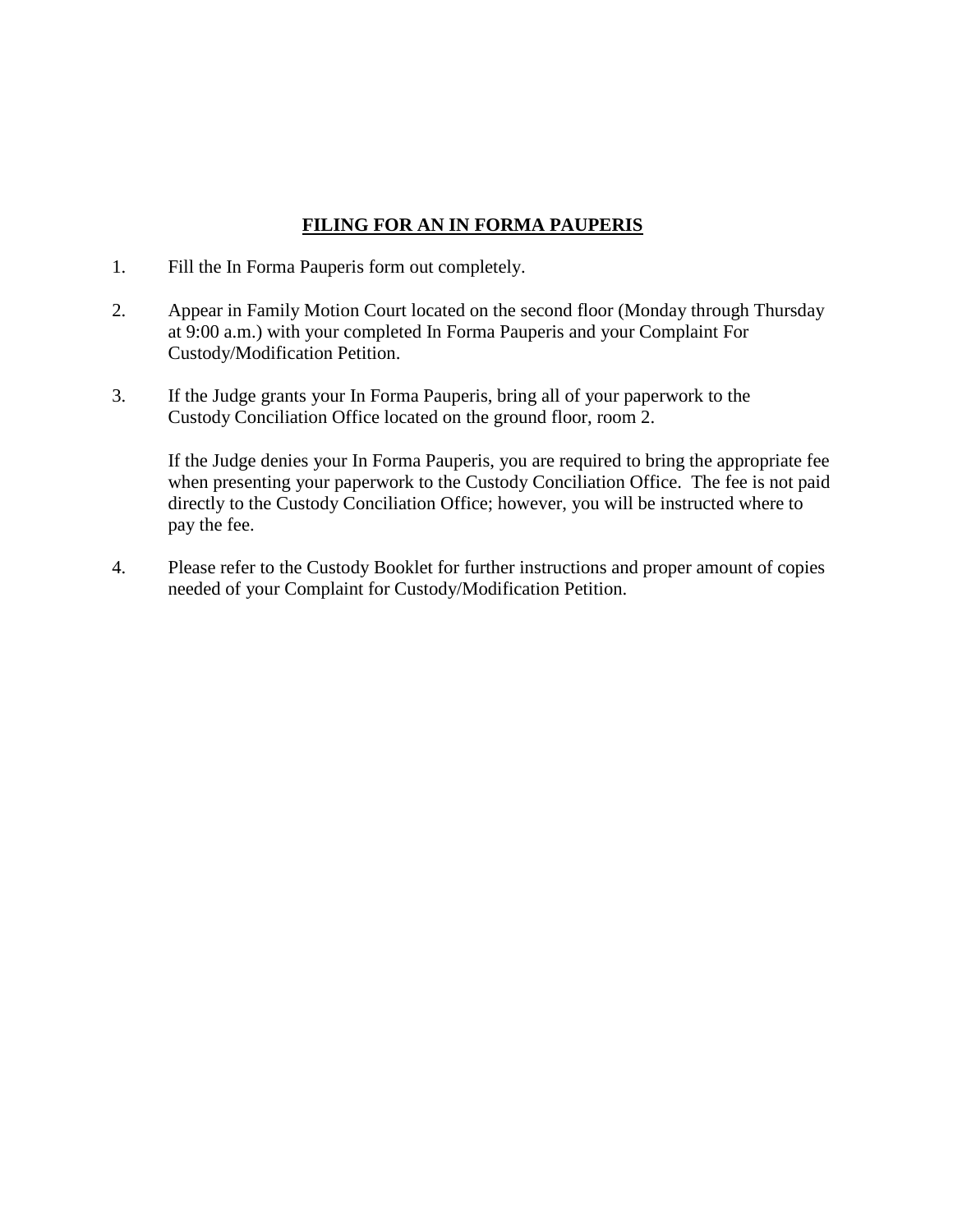## **FILING FOR AN IN FORMA PAUPERIS**

- 1. Fill the In Forma Pauperis form out completely.
- 2. Appear in Family Motion Court located on the second floor (Monday through Thursday at 9:00 a.m.) with your completed In Forma Pauperis and your Complaint For Custody/Modification Petition.
- 3. If the Judge grants your In Forma Pauperis, bring all of your paperwork to the Custody Conciliation Office located on the ground floor, room 2.

If the Judge denies your In Forma Pauperis, you are required to bring the appropriate fee when presenting your paperwork to the Custody Conciliation Office. The fee is not paid directly to the Custody Conciliation Office; however, you will be instructed where to pay the fee.

4. Please refer to the Custody Booklet for further instructions and proper amount of copies needed of your Complaint for Custody/Modification Petition.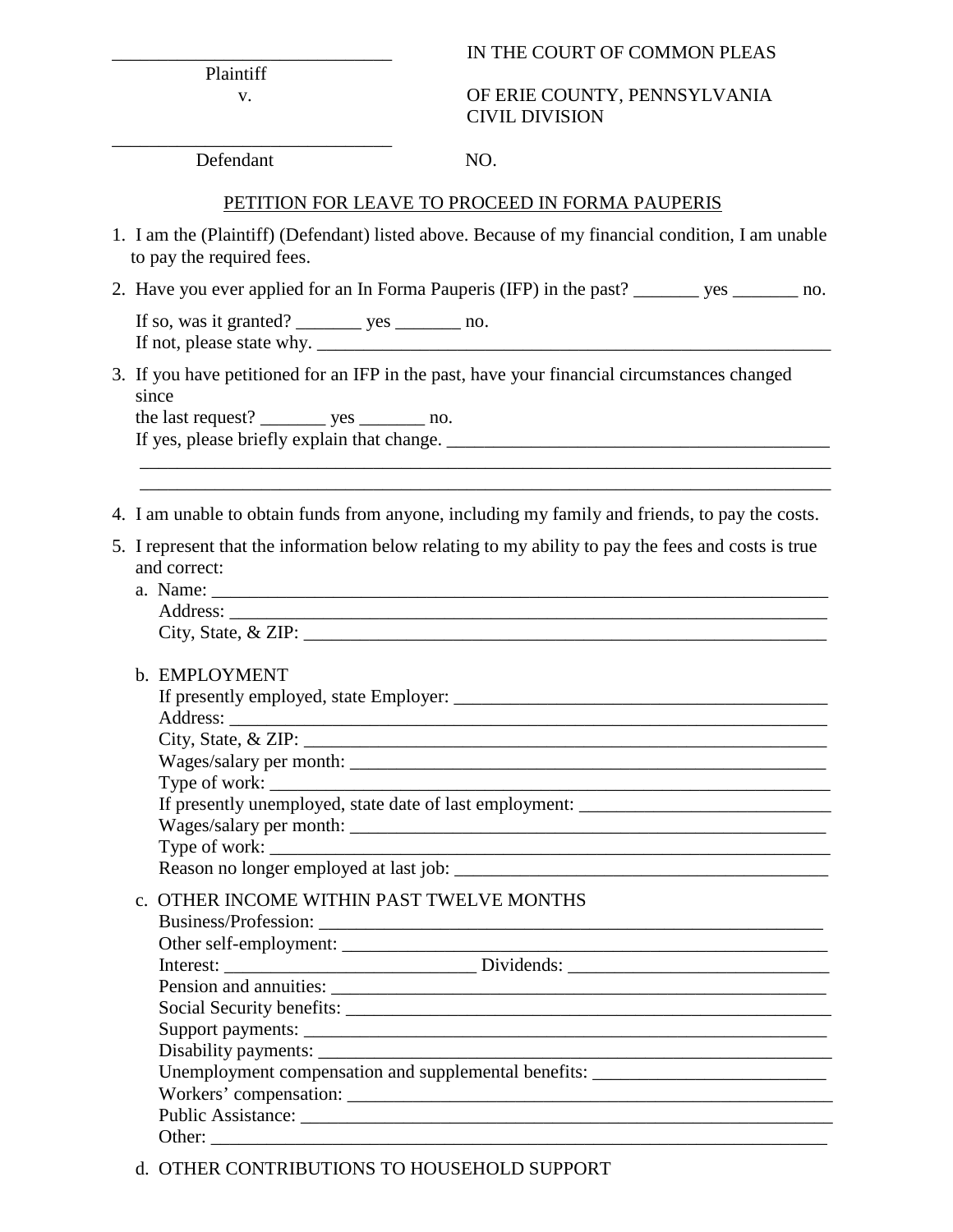## IN THE COURT OF COMMON PLEAS

Plaintiff

 v. OF ERIE COUNTY, PENNSYLVANIA CIVIL DIVISION

Defendant NO.

\_\_\_\_\_\_\_\_\_\_\_\_\_\_\_\_\_\_\_\_\_\_\_\_\_\_\_\_\_\_

## PETITION FOR LEAVE TO PROCEED IN FORMA PAUPERIS

- 1. I am the (Plaintiff) (Defendant) listed above. Because of my financial condition, I am unable to pay the required fees.
- 2. Have you ever applied for an In Forma Pauperis (IFP) in the past? \_\_\_\_\_\_\_ yes \_\_\_\_\_\_\_ no.

If so, was it granted? \_\_\_\_\_\_\_\_ yes \_\_\_\_\_\_\_ no. If not, please state why.

3. If you have petitioned for an IFP in the past, have your financial circumstances changed since

the last request? \_\_\_\_\_\_\_\_ yes \_\_\_\_\_\_\_\_ no.

If yes, please briefly explain that change. \_\_\_\_\_\_\_\_\_\_\_\_\_\_\_\_\_\_\_\_\_\_\_\_\_\_\_\_\_\_\_\_\_\_\_\_\_\_\_\_\_

4. I am unable to obtain funds from anyone, including my family and friends, to pay the costs.

\_\_\_\_\_\_\_\_\_\_\_\_\_\_\_\_\_\_\_\_\_\_\_\_\_\_\_\_\_\_\_\_\_\_\_\_\_\_\_\_\_\_\_\_\_\_\_\_\_\_\_\_\_\_\_\_\_\_\_\_\_\_\_\_\_\_\_\_\_\_\_\_\_\_

- 5. I represent that the information below relating to my ability to pay the fees and costs is true and correct:
	- a. Name: \_\_\_\_\_\_\_\_\_\_\_\_\_\_\_\_\_\_\_\_\_\_\_\_\_\_\_\_\_\_\_\_\_\_\_\_\_\_\_\_\_\_\_\_\_\_\_\_\_\_\_\_\_\_\_\_\_\_\_\_\_\_\_\_\_\_ Address: \_\_\_\_\_\_\_\_\_\_\_\_\_\_\_\_\_\_\_\_\_\_\_\_\_\_\_\_\_\_\_\_\_\_\_\_\_\_\_\_\_\_\_\_\_\_\_\_\_\_\_\_\_\_\_\_\_\_\_\_\_\_\_\_  $City, State, & ZIP:$
	- b. EMPLOYMENT

|  | City, State, & ZIP:                                                               |  |  |  |
|--|-----------------------------------------------------------------------------------|--|--|--|
|  |                                                                                   |  |  |  |
|  | Type of work:                                                                     |  |  |  |
|  | If presently unemployed, state date of last employment: _________________________ |  |  |  |
|  |                                                                                   |  |  |  |
|  |                                                                                   |  |  |  |
|  |                                                                                   |  |  |  |
|  | c. OTHER INCOME WITHIN PAST TWELVE MONTHS                                         |  |  |  |
|  |                                                                                   |  |  |  |
|  |                                                                                   |  |  |  |
|  | Interest: __________________________________Dividends: __________________________ |  |  |  |
|  |                                                                                   |  |  |  |
|  |                                                                                   |  |  |  |
|  |                                                                                   |  |  |  |
|  |                                                                                   |  |  |  |
|  | Unemployment compensation and supplemental benefits: ___________________________  |  |  |  |
|  |                                                                                   |  |  |  |
|  | <b>Public Assistance:</b>                                                         |  |  |  |

d. OTHER CONTRIBUTIONS TO HOUSEHOLD SUPPORT